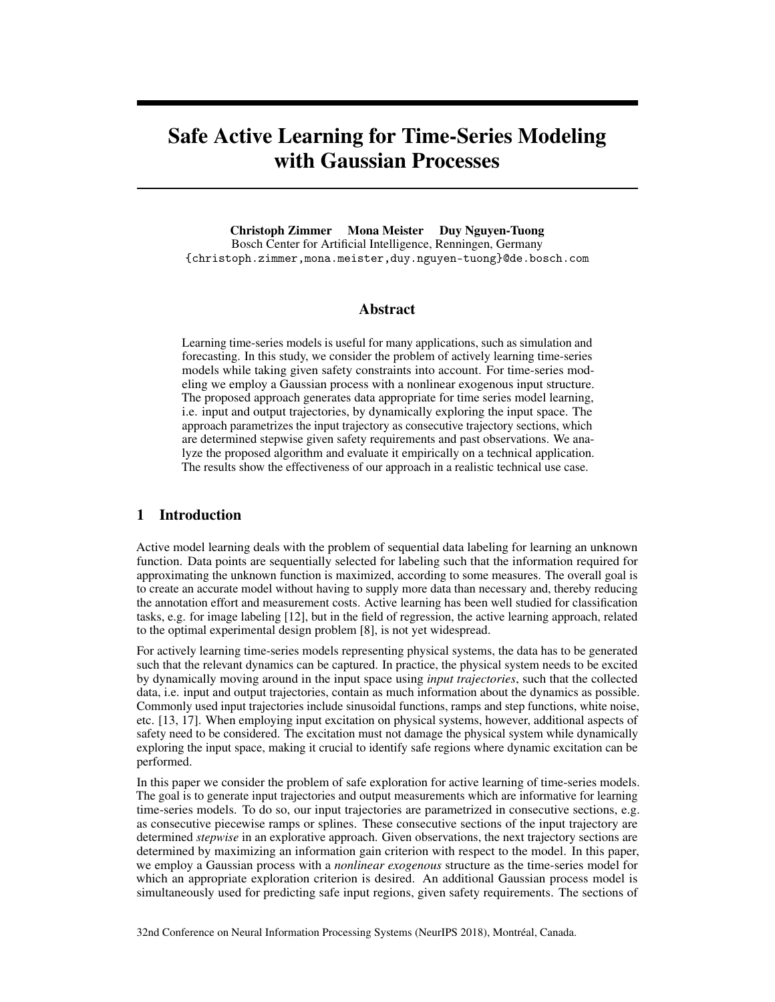# Safe Active Learning for Time-Series Modeling with Gaussian Processes

Christoph Zimmer Mona Meister Duy Nguyen-Tuong Bosch Center for Artificial Intelligence, Renningen, Germany {christoph.zimmer,mona.meister,duy.nguyen-tuong}@de.bosch.com

# Abstract

Learning time-series models is useful for many applications, such as simulation and forecasting. In this study, we consider the problem of actively learning time-series models while taking given safety constraints into account. For time-series modeling we employ a Gaussian process with a nonlinear exogenous input structure. The proposed approach generates data appropriate for time series model learning, i.e. input and output trajectories, by dynamically exploring the input space. The approach parametrizes the input trajectory as consecutive trajectory sections, which are determined stepwise given safety requirements and past observations. We analyze the proposed algorithm and evaluate it empirically on a technical application. The results show the effectiveness of our approach in a realistic technical use case.

# 1 Introduction

Active model learning deals with the problem of sequential data labeling for learning an unknown function. Data points are sequentially selected for labeling such that the information required for approximating the unknown function is maximized, according to some measures. The overall goal is to create an accurate model without having to supply more data than necessary and, thereby reducing the annotation effort and measurement costs. Active learning has been well studied for classification tasks, e.g. for image labeling [12], but in the field of regression, the active learning approach, related to the optimal experimental design problem [8], is not yet widespread.

For actively learning time-series models representing physical systems, the data has to be generated such that the relevant dynamics can be captured. In practice, the physical system needs to be excited by dynamically moving around in the input space using *input trajectories*, such that the collected data, i.e. input and output trajectories, contain as much information about the dynamics as possible. Commonly used input trajectories include sinusoidal functions, ramps and step functions, white noise, etc. [13, 17]. When employing input excitation on physical systems, however, additional aspects of safety need to be considered. The excitation must not damage the physical system while dynamically exploring the input space, making it crucial to identify safe regions where dynamic excitation can be performed.

In this paper we consider the problem of safe exploration for active learning of time-series models. The goal is to generate input trajectories and output measurements which are informative for learning time-series models. To do so, our input trajectories are parametrized in consecutive sections, e.g. as consecutive piecewise ramps or splines. These consecutive sections of the input trajectory are determined *stepwise* in an explorative approach. Given observations, the next trajectory sections are determined by maximizing an information gain criterion with respect to the model. In this paper, we employ a Gaussian process with a *nonlinear exogenous* structure as the time-series model for which an appropriate exploration criterion is desired. An additional Gaussian process model is simultaneously used for predicting safe input regions, given safety requirements. The sections of

32nd Conference on Neural Information Processing Systems (NeurIPS 2018), Montréal, Canada.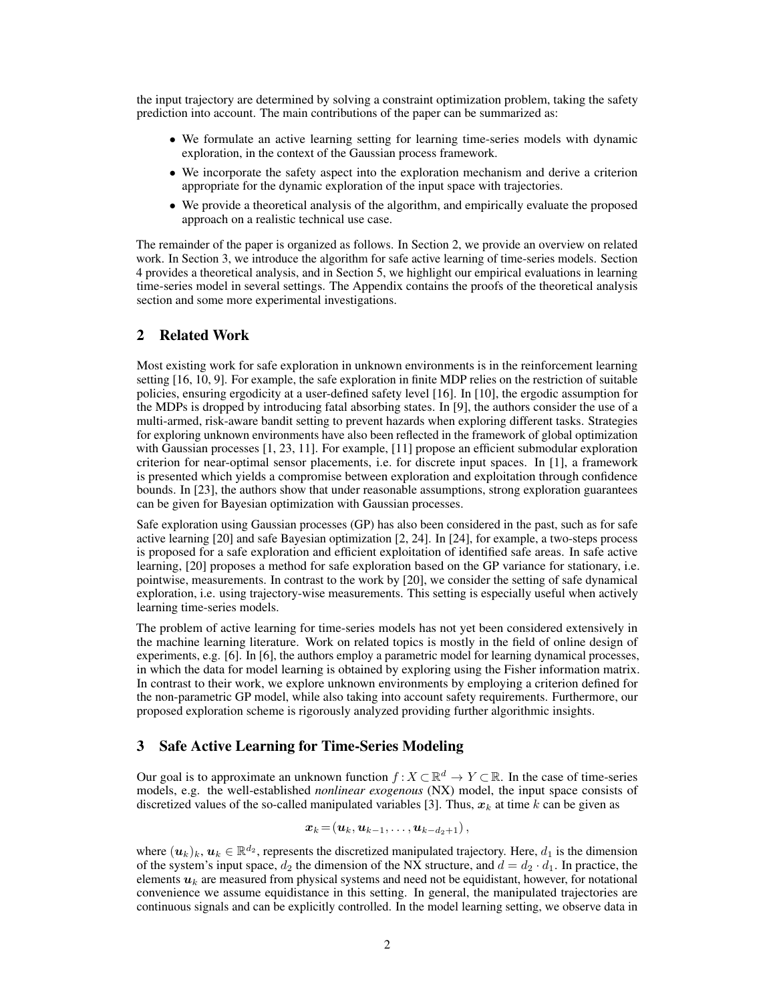the input trajectory are determined by solving a constraint optimization problem, taking the safety prediction into account. The main contributions of the paper can be summarized as:

- We formulate an active learning setting for learning time-series models with dynamic exploration, in the context of the Gaussian process framework.
- We incorporate the safety aspect into the exploration mechanism and derive a criterion appropriate for the dynamic exploration of the input space with trajectories.
- We provide a theoretical analysis of the algorithm, and empirically evaluate the proposed approach on a realistic technical use case.

The remainder of the paper is organized as follows. In Section 2, we provide an overview on related work. In Section 3, we introduce the algorithm for safe active learning of time-series models. Section 4 provides a theoretical analysis, and in Section 5, we highlight our empirical evaluations in learning time-series model in several settings. The Appendix contains the proofs of the theoretical analysis section and some more experimental investigations.

# 2 Related Work

Most existing work for safe exploration in unknown environments is in the reinforcement learning setting [16, 10, 9]. For example, the safe exploration in finite MDP relies on the restriction of suitable policies, ensuring ergodicity at a user-defined safety level [16]. In [10], the ergodic assumption for the MDPs is dropped by introducing fatal absorbing states. In [9], the authors consider the use of a multi-armed, risk-aware bandit setting to prevent hazards when exploring different tasks. Strategies for exploring unknown environments have also been reflected in the framework of global optimization with Gaussian processes [1, 23, 11]. For example, [11] propose an efficient submodular exploration criterion for near-optimal sensor placements, i.e. for discrete input spaces. In [1], a framework is presented which yields a compromise between exploration and exploitation through confidence bounds. In [23], the authors show that under reasonable assumptions, strong exploration guarantees can be given for Bayesian optimization with Gaussian processes.

Safe exploration using Gaussian processes (GP) has also been considered in the past, such as for safe active learning [20] and safe Bayesian optimization [2, 24]. In [24], for example, a two-steps process is proposed for a safe exploration and efficient exploitation of identified safe areas. In safe active learning, [20] proposes a method for safe exploration based on the GP variance for stationary, i.e. pointwise, measurements. In contrast to the work by [20], we consider the setting of safe dynamical exploration, i.e. using trajectory-wise measurements. This setting is especially useful when actively learning time-series models.

The problem of active learning for time-series models has not yet been considered extensively in the machine learning literature. Work on related topics is mostly in the field of online design of experiments, e.g. [6]. In [6], the authors employ a parametric model for learning dynamical processes, in which the data for model learning is obtained by exploring using the Fisher information matrix. In contrast to their work, we explore unknown environments by employing a criterion defined for the non-parametric GP model, while also taking into account safety requirements. Furthermore, our proposed exploration scheme is rigorously analyzed providing further algorithmic insights.

# 3 Safe Active Learning for Time-Series Modeling

Our goal is to approximate an unknown function  $f: X \subset \mathbb{R}^d \to Y \subset \mathbb{R}$ . In the case of time-series models, e.g. the well-established *nonlinear exogenous* (NX) model, the input space consists of discretized values of the so-called manipulated variables [3]. Thus,  $x_k$  at time k can be given as

$$
\boldsymbol{x}_k\!=\!\left(\boldsymbol{u}_k,\boldsymbol{u}_{k-1},\ldots,\boldsymbol{u}_{k-d_2+1}\right),
$$

where  $(u_k)_k$ ,  $u_k \in \mathbb{R}^{d_2}$ , represents the discretized manipulated trajectory. Here,  $d_1$  is the dimension of the system's input space,  $d_2$  the dimension of the NX structure, and  $d = d_2 \cdot d_1$ . In practice, the elements  $u_k$  are measured from physical systems and need not be equidistant, however, for notational convenience we assume equidistance in this setting. In general, the manipulated trajectories are continuous signals and can be explicitly controlled. In the model learning setting, we observe data in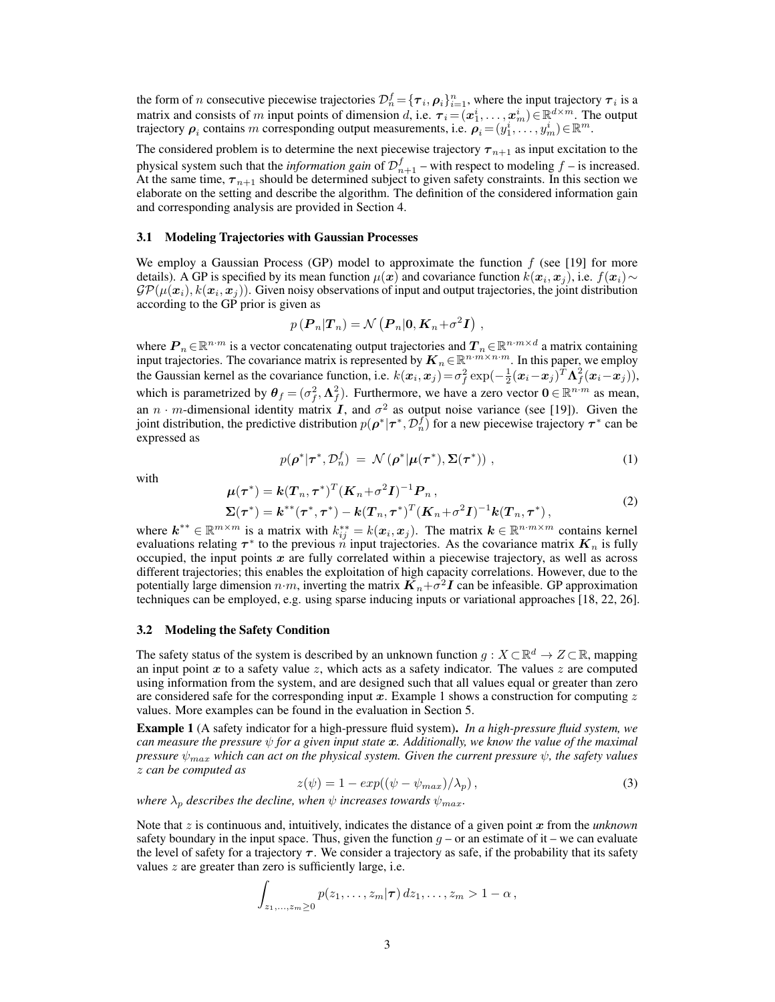the form of *n* consecutive piecewise trajectories  $\mathcal{D}_n^f = \{\tau_i, \rho_i\}_{i=1}^n$ , where the input trajectory  $\tau_i$  is a matrix and consists of m input points of dimension d, i.e.  $\tau_i = (\mathbf{x}_1^i, \dots, \mathbf{x}_m^i) \in \mathbb{R}^{d \times m}$ . The output trajectory  $\rho_i$  contains m corresponding output measurements, i.e.  $\rho_i = (y_1^i, \ldots, y_m^i) \in \mathbb{R}^m$ .

The considered problem is to determine the next piecewise trajectory  $\tau_{n+1}$  as input excitation to the physical system such that the *information gain* of  $\mathcal{D}_{n+1}^f$  – with respect to modeling  $f$  – is increased. At the same time,  $\tau_{n+1}$  should be determined subject to given safety constraints. In this section we elaborate on the setting and describe the algorithm. The definition of the considered information gain and corresponding analysis are provided in Section 4.

#### 3.1 Modeling Trajectories with Gaussian Processes

We employ a Gaussian Process (GP) model to approximate the function  $f$  (see [19] for more details). A GP is specified by its mean function  $\mu(x)$  and covariance function  $k(x_i, x_j)$ , i.e.  $f(x_i) \sim$  $\mathcal{GP}(\mu(\bm{x}_i), k(\bm{x}_i, \bm{x}_j)).$  Given noisy observations of input and output trajectories, the joint distribution according to the GP prior is given as

$$
p\left(\boldsymbol{P}_n|\boldsymbol{T}_n\right)=\mathcal{N}\left(\boldsymbol{P}_n|\boldsymbol{0},\boldsymbol{K}_n+\sigma^2\boldsymbol{I}\right)\,,
$$

where  $P_n \in \mathbb{R}^{n \cdot m}$  is a vector concatenating output trajectories and  $T_n \in \mathbb{R}^{n \cdot m \times d}$  a matrix containing input trajectories. The covariance matrix is represented by  $K_n \in \mathbb{R}^{n \cdot m \times n \cdot m}$ . In this paper, we employ the Gaussian kernel as the covariance function, i.e.  $k(x_i, x_j) = \sigma_f^2 \exp(-\frac{1}{2}(x_i - x_j)^T \Lambda_f^2(x_i - x_j)),$ which is parametrized by  $\theta_f = (\sigma_f^2, \Lambda_f^2)$ . Furthermore, we have a zero vector  $0 \in \mathbb{R}^{n \cdot m}$  as mean, an  $n \cdot m$ -dimensional identity matrix I, and  $\sigma^2$  as output noise variance (see [19]). Given the joint distribution, the predictive distribution  $p(\rho^*|\tau^*, \mathcal{D}_n^f)$  for a new piecewise trajectory  $\tau^*$  can be expressed as

$$
p(\boldsymbol{\rho}^*|\boldsymbol{\tau}^*, \mathcal{D}_n^f) = \mathcal{N}(\boldsymbol{\rho}^*|\boldsymbol{\mu}(\boldsymbol{\tau}^*), \boldsymbol{\Sigma}(\boldsymbol{\tau}^*)) ,
$$
 (1)

with

$$
\mu(\tau^*) = k(T_n, \tau^*)^T (K_n + \sigma^2 I)^{-1} P_n, \n\Sigma(\tau^*) = k^{**} (\tau^*, \tau^*) - k(T_n, \tau^*)^T (K_n + \sigma^2 I)^{-1} k(T_n, \tau^*),
$$
\n(2)

where  $k^{**} \in \mathbb{R}^{m \times m}$  is a matrix with  $k_{ij}^{**} = k(x_i, x_j)$ . The matrix  $k \in \mathbb{R}^{n \cdot m \times m}$  contains kernel evaluations relating  $\tau^*$  to the previous n input trajectories. As the covariance matrix  $K_n$  is fully occupied, the input points  $x$  are fully correlated within a piecewise trajectory, as well as across different trajectories; this enables the exploitation of high capacity correlations. However, due to the potentially large dimension  $n \cdot m$ , inverting the matrix  $\vec{K}_n + \vec{\sigma}^2 \vec{I}$  can be infeasible. GP approximation techniques can be employed, e.g. using sparse inducing inputs or variational approaches [18, 22, 26].

#### 3.2 Modeling the Safety Condition

The safety status of the system is described by an unknown function  $g: X \subset \mathbb{R}^d \to Z \subset \mathbb{R}$ , mapping an input point  $x$  to a safety value  $z$ , which acts as a safety indicator. The values  $z$  are computed using information from the system, and are designed such that all values equal or greater than zero are considered safe for the corresponding input x. Example 1 shows a construction for computing z values. More examples can be found in the evaluation in Section 5.

Example 1 (A safety indicator for a high-pressure fluid system). *In a high-pressure fluid system, we can measure the pressure*  $\psi$  *for a given input state*  $\boldsymbol{x}$ *. Additionally, we know the value of the maximal pressure*  $\psi_{max}$  *which can act on the physical system. Given the current pressure*  $\psi$ *, the safety values* z *can be computed as*

$$
z(\psi) = 1 - exp((\psi - \psi_{max})/\lambda_p), \qquad (3)
$$

*where*  $\lambda_p$  *describes the decline, when*  $\psi$  *increases towards*  $\psi_{max}$ *.* 

Note that  $z$  is continuous and, intuitively, indicates the distance of a given point  $x$  from the *unknown* safety boundary in the input space. Thus, given the function  $q - or$  an estimate of it – we can evaluate the level of safety for a trajectory  $\tau$ . We consider a trajectory as safe, if the probability that its safety values  $z$  are greater than zero is sufficiently large, i.e.

$$
\int_{z_1,\ldots,z_m\geq 0} p(z_1,\ldots,z_m|\boldsymbol{\tau})\,dz_1,\ldots,z_m>1-\alpha\,,
$$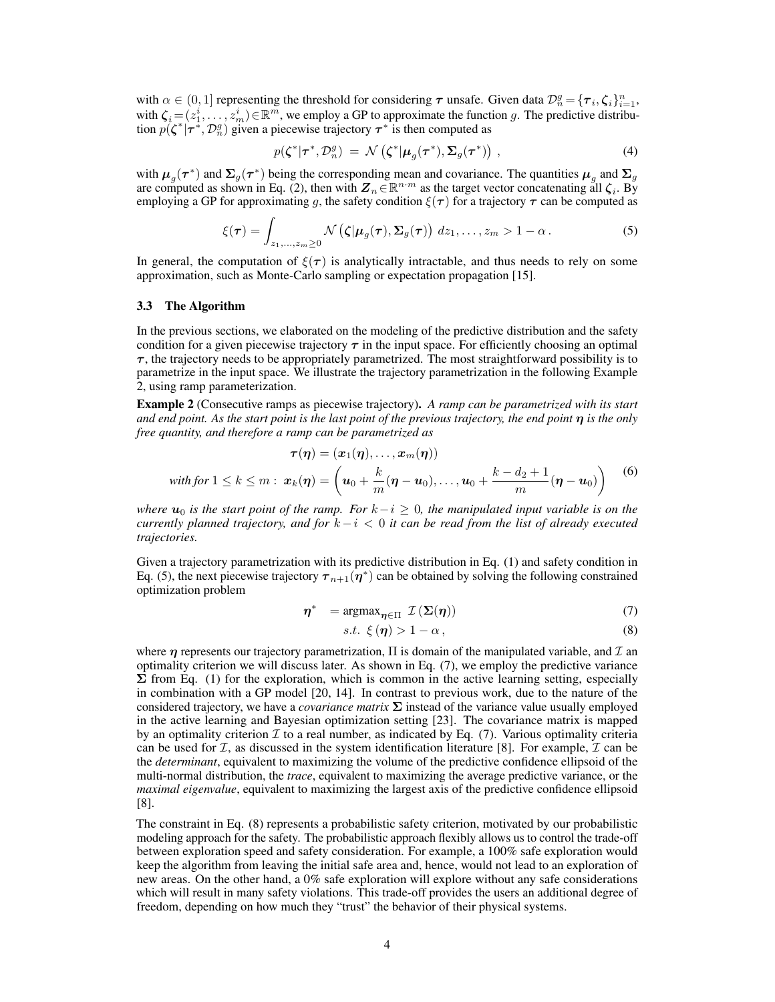with  $\alpha \in (0,1]$  representing the threshold for considering  $\tau$  unsafe. Given data  $\mathcal{D}_n^g = {\{\tau_i, \zeta_i\}}_{i=1}^n$ , with  $\zeta_i = (z_1^i, \ldots, z_m^i) \in \mathbb{R}^m$ , we employ a GP to approximate the function g. The predictive distribution  $p(\zeta^*|\tau^*, \mathcal{D}_n^g)$  given a piecewise trajectory  $\tau^*$  is then computed as

$$
p(\boldsymbol{\zeta}^*|\boldsymbol{\tau}^*, \mathcal{D}_n^g) = \mathcal{N}\left(\boldsymbol{\zeta}^*|\boldsymbol{\mu}_g(\boldsymbol{\tau}^*), \boldsymbol{\Sigma}_g(\boldsymbol{\tau}^*)\right), \qquad (4)
$$

with  $\mu_g(\tau^*)$  and  $\Sigma_g(\tau^*)$  being the corresponding mean and covariance. The quantities  $\mu_g$  and  $\Sigma_g$ are computed as shown in Eq. (2), then with  $Z_n \in \mathbb{R}^{n \cdot m}$  as the target vector concatenating all  $\zeta_i$ . By employing a GP for approximating g, the safety condition  $\xi(\tau)$  for a trajectory  $\tau$  can be computed as

$$
\xi(\boldsymbol{\tau}) = \int_{z_1,\ldots,z_m \geq 0} \mathcal{N}\left(\zeta | \boldsymbol{\mu}_g(\boldsymbol{\tau}), \boldsymbol{\Sigma}_g(\boldsymbol{\tau})\right) dz_1,\ldots,z_m > 1 - \alpha. \tag{5}
$$

In general, the computation of  $\xi(\tau)$  is analytically intractable, and thus needs to rely on some approximation, such as Monte-Carlo sampling or expectation propagation [15].

## 3.3 The Algorithm

In the previous sections, we elaborated on the modeling of the predictive distribution and the safety condition for a given piecewise trajectory  $\tau$  in the input space. For efficiently choosing an optimal  $\tau$ , the trajectory needs to be appropriately parametrized. The most straightforward possibility is to parametrize in the input space. We illustrate the trajectory parametrization in the following Example 2, using ramp parameterization.

Example 2 (Consecutive ramps as piecewise trajectory). *A ramp can be parametrized with its start and end point. As the start point is the last point of the previous trajectory, the end point*  $\eta$  *is the only free quantity, and therefore a ramp can be parametrized as*

$$
\boldsymbol{\tau}(\boldsymbol{\eta}) = (\boldsymbol{x}_1(\boldsymbol{\eta}), \dots, \boldsymbol{x}_m(\boldsymbol{\eta}))
$$
\nwith for  $1 \leq k \leq m$ :  $\boldsymbol{x}_k(\boldsymbol{\eta}) = \left(\boldsymbol{u}_0 + \frac{k}{m}(\boldsymbol{\eta} - \boldsymbol{u}_0), \dots, \boldsymbol{u}_0 + \frac{k - d_2 + 1}{m}(\boldsymbol{\eta} - \boldsymbol{u}_0)\right)$  (6)

*where*  $u_0$  *is the start point of the ramp. For*  $k-i \geq 0$ *, the manipulated input variable is on the currently planned trajectory, and for* k−i < 0 *it can be read from the list of already executed trajectories.*

Given a trajectory parametrization with its predictive distribution in Eq. (1) and safety condition in Eq. (5), the next piecewise trajectory  $\tau_{n+1}(\eta^*)$  can be obtained by solving the following constrained optimization problem

$$
\eta^* = \operatorname{argmax}_{\eta \in \Pi} \mathcal{I}(\Sigma(\eta)) \tag{7}
$$

$$
s.t. \xi(\eta) > 1 - \alpha, \tag{8}
$$

where  $\eta$  represents our trajectory parametrization,  $\Pi$  is domain of the manipulated variable, and  $\mathcal I$  and optimality criterion we will discuss later. As shown in Eq. (7), we employ the predictive variance  $\Sigma$  from Eq. (1) for the exploration, which is common in the active learning setting, especially in combination with a GP model [20, 14]. In contrast to previous work, due to the nature of the considered trajectory, we have a *covariance matrix* Σ instead of the variance value usually employed in the active learning and Bayesian optimization setting [23]. The covariance matrix is mapped by an optimality criterion  $\mathcal I$  to a real number, as indicated by Eq. (7). Various optimality criteria can be used for  $\mathcal{I}$ , as discussed in the system identification literature [8]. For example,  $\mathcal{I}$  can be the *determinant*, equivalent to maximizing the volume of the predictive confidence ellipsoid of the multi-normal distribution, the *trace*, equivalent to maximizing the average predictive variance, or the *maximal eigenvalue*, equivalent to maximizing the largest axis of the predictive confidence ellipsoid [8].

The constraint in Eq. (8) represents a probabilistic safety criterion, motivated by our probabilistic modeling approach for the safety. The probabilistic approach flexibly allows us to control the trade-off between exploration speed and safety consideration. For example, a 100% safe exploration would keep the algorithm from leaving the initial safe area and, hence, would not lead to an exploration of new areas. On the other hand, a 0% safe exploration will explore without any safe considerations which will result in many safety violations. This trade-off provides the users an additional degree of freedom, depending on how much they "trust" the behavior of their physical systems.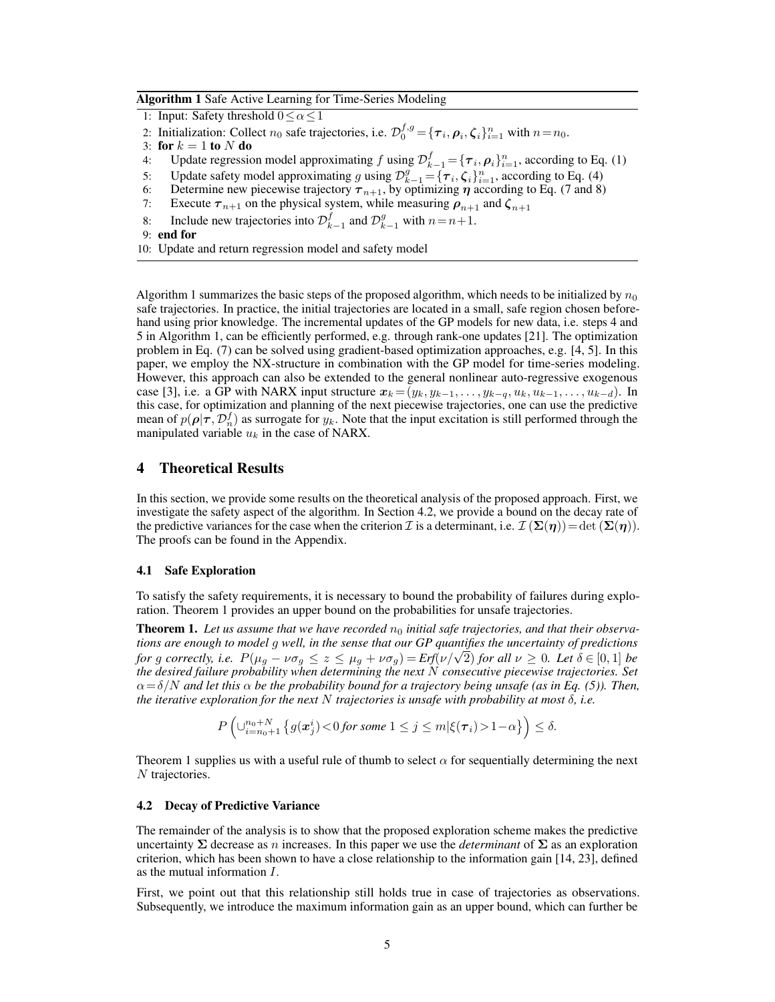#### Algorithm 1 Safe Active Learning for Time-Series Modeling

- 1: Input: Safety threshold  $0 \le \alpha \le 1$
- 2: Initialization: Collect  $n_0$  safe trajectories, i.e.  $\mathcal{D}_0^{f,g} = {\{\tau_i, \rho_i, \zeta_i\}}_{i=1}^n$  with  $n = n_0$ .
- 3: for  $k = 1$  to N do
- 4: Update regression model approximating f using  $\mathcal{D}_{k-1}^f = {\{\tau_i, \rho_i\}}_{i=1}^n$ , according to Eq. (1)
- 5: Update safety model approximating g using  $\mathcal{D}_{k-1}^g = {\tau_i, \zeta_i}_{i=1}^n$ , according to Eq. (4)
- 6: Determine new piecewise trajectory  $\tau_{n+1}$ , by optimizing  $\eta$  according to Eq. (7 and 8)
- 7: Execute  $\tau_{n+1}$  on the physical system, while measuring  $\rho_{n+1}$  and  $\zeta_{n+1}$
- 8: Include new trajectories into  $\mathcal{D}_{k-1}^f$  and  $\mathcal{D}_{k-1}^g$  with  $n = n+1$ .
- 9: end for
- 10: Update and return regression model and safety model

Algorithm 1 summarizes the basic steps of the proposed algorithm, which needs to be initialized by  $n_0$ safe trajectories. In practice, the initial trajectories are located in a small, safe region chosen beforehand using prior knowledge. The incremental updates of the GP models for new data, i.e. steps 4 and 5 in Algorithm 1, can be efficiently performed, e.g. through rank-one updates [21]. The optimization problem in Eq. (7) can be solved using gradient-based optimization approaches, e.g. [4, 5]. In this paper, we employ the NX-structure in combination with the GP model for time-series modeling. However, this approach can also be extended to the general nonlinear auto-regressive exogenous case [3], i.e. a GP with NARX input structure  $x_k = (y_k, y_{k-1}, \ldots, y_{k-q}, u_k, u_{k-1}, \ldots, u_{k-d})$ . In this case, for optimization and planning of the next piecewise trajectories, one can use the predictive mean of  $p(\rho|\tau, \mathcal{D}_n^f)$  as surrogate for  $y_k$ . Note that the input excitation is still performed through the manipulated variable  $u_k$  in the case of NARX.

# 4 Theoretical Results

In this section, we provide some results on the theoretical analysis of the proposed approach. First, we investigate the safety aspect of the algorithm. In Section 4.2, we provide a bound on the decay rate of the predictive variances for the case when the criterion I is a determinant, i.e.  $\mathcal{I}(\Sigma(\eta)) = \det (\Sigma(\eta))$ . The proofs can be found in the Appendix.

## 4.1 Safe Exploration

To satisfy the safety requirements, it is necessary to bound the probability of failures during exploration. Theorem 1 provides an upper bound on the probabilities for unsafe trajectories.

**Theorem 1.** Let us assume that we have recorded  $n_0$  initial safe trajectories, and that their observa*tions are enough to model* g *well, in the sense that our GP quantifies the uncertainty of predictions for* g correctly, i.e.  $P(\mu_g - \nu \sigma_g) \le z \le \mu_g + \nu \sigma_g) = Erf(\nu/\sqrt{2})$  *for all*  $\nu \ge 0$ *. Let*  $\delta \in [0,1]$  *be the desired failure probability when determining the next* N *consecutive piecewise trajectories. Set*  $\alpha = \delta/N$  *and let this*  $\alpha$  *be the probability bound for a trajectory being unsafe (as in Eq. (5)). Then, the iterative exploration for the next* N *trajectories is unsafe with probability at most* δ*, i.e.*

$$
P\left(\cup_{i=n_0+1}^{n_0+N}\left\{g(\boldsymbol{x}_j^i)\!<\!0 \text{ for some } 1\leq j\leq m | \xi(\boldsymbol{\tau}_i)\!>\!1\!-\!\alpha \right\}\right)\leq \delta.
$$

Theorem 1 supplies us with a useful rule of thumb to select  $\alpha$  for sequentially determining the next N trajectories.

#### 4.2 Decay of Predictive Variance

The remainder of the analysis is to show that the proposed exploration scheme makes the predictive uncertainty  $\Sigma$  decrease as n increases. In this paper we use the *determinant* of  $\Sigma$  as an exploration criterion, which has been shown to have a close relationship to the information gain [14, 23], defined as the mutual information I.

First, we point out that this relationship still holds true in case of trajectories as observations. Subsequently, we introduce the maximum information gain as an upper bound, which can further be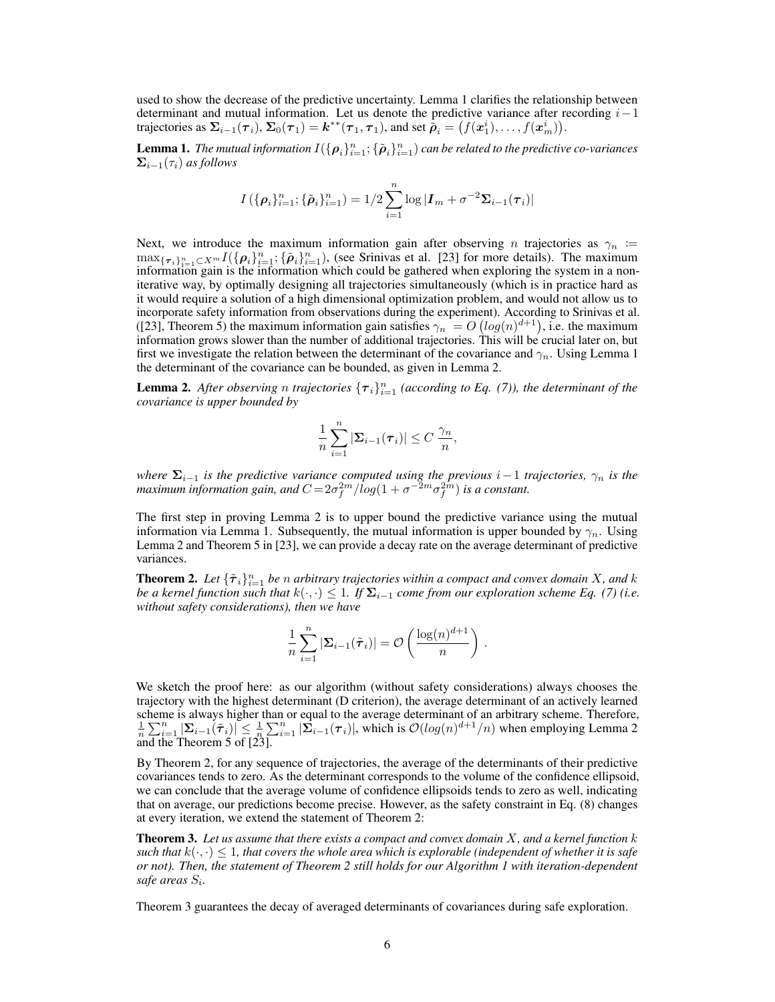used to show the decrease of the predictive uncertainty. Lemma 1 clarifies the relationship between determinant and mutual information. Let us denote the predictive variance after recording  $i-1$ trajectories as  $\Sigma_{i-1}(\tau_i)$ ,  $\Sigma_0(\tau_1) = k^{**}(\tau_1, \tau_1)$ , and set  $\dot{\tilde{\rho}}_i = (f(x_1^i), \dots, f(x_m^i))$ .

**Lemma 1.** The mutual information  $I(\{\boldsymbol{\rho}_i\}_{i=1}^n; \{\tilde{\boldsymbol{\rho}}_i\}_{i=1}^n)$  can be related to the predictive co-variances  $\Sigma_{i-1}(\tau_i)$  *as follows* 

$$
I(\{\boldsymbol{\rho}_i\}_{i=1}^n; \{\tilde{\boldsymbol{\rho}}_i\}_{i=1}^n) = 1/2 \sum_{i=1}^n \log |\boldsymbol{I}_m + \sigma^{-2} \boldsymbol{\Sigma}_{i-1}(\boldsymbol{\tau}_i)|
$$

Next, we introduce the maximum information gain after observing n trajectories as  $\gamma_n$  :=  $\max_{\{\tau_i\}_{i=1}^n \subset X^m} I(\{\rho_i\}_{i=1}^n; {\{\tilde{\rho}_i\}_{i=1}^n})$ , (see Srinivas et al. [23] for more details). The maximum information gain is the information which could be gathered when exploring the system in a noniterative way, by optimally designing all trajectories simultaneously (which is in practice hard as it would require a solution of a high dimensional optimization problem, and would not allow us to incorporate safety information from observations during the experiment). According to Srinivas et al. ([23], Theorem 5) the maximum information gain satisfies  $\gamma_n = O\left(log(n)^{d+1}\right)$ , i.e. the maximum information grows slower than the number of additional trajectories. This will be crucial later on, but first we investigate the relation between the determinant of the covariance and  $\gamma_n$ . Using Lemma 1 the determinant of the covariance can be bounded, as given in Lemma 2.

**Lemma 2.** After observing n trajectories  ${\lbrace \tau_i \rbrace}_{i=1}^n$  (according to Eq. (7)), the determinant of the *covariance is upper bounded by*

$$
\frac{1}{n}\sum_{i=1}^n |\boldsymbol{\Sigma}_{i-1}(\boldsymbol{\tau}_i)| \leq C \frac{\gamma_n}{n},
$$

*where*  $\Sigma_{i-1}$  *is the predictive variance computed using the previous i* − 1 *trajectories,*  $\gamma_n$  *is the* maximum information gain, and  $C = 2\sigma_f^{2m}/\overline{log}(1 + \sigma^{-2m}\sigma_f^{2m})$  is a constant.

The first step in proving Lemma 2 is to upper bound the predictive variance using the mutual information via Lemma 1. Subsequently, the mutual information is upper bounded by  $\gamma_n$ . Using Lemma 2 and Theorem 5 in [23], we can provide a decay rate on the average determinant of predictive variances.

**Theorem 2.** Let  $\{\tilde{\tau}_i\}_{i=1}^n$  be *n* arbitrary trajectories within a compact and convex domain X, and k *be a kernel function such that*  $k(\cdot, \cdot) \leq 1$ *. If*  $\Sigma_{i-1}$  *come from our exploration scheme Eq. (7) (i.e. without safety considerations), then we have*

$$
\frac{1}{n} \sum_{i=1}^{n} |\mathbf{\Sigma}_{i-1}(\tilde{\boldsymbol{\tau}}_i)| = \mathcal{O}\left(\frac{\log(n)^{d+1}}{n}\right)
$$

.

We sketch the proof here: as our algorithm (without safety considerations) always chooses the trajectory with the highest determinant (D criterion), the average determinant of an actively learned scheme is always higher than or equal to the average determinant of an arbitrary scheme. Therefore,  $\frac{1}{n} \sum_{i=1}^{n} |\sum_{i=1}^{n} (\tilde{\tau}_i)| \leq \frac{1}{n} \sum_{i=1}^{n} |\sum_{i=1}^{n} (\tau_i)|$ , which is  $\mathcal{O}(log(n)^{d+1}/n)$  when employing Lemma and the Theorem 5 of [23].

By Theorem 2, for any sequence of trajectories, the average of the determinants of their predictive covariances tends to zero. As the determinant corresponds to the volume of the confidence ellipsoid, we can conclude that the average volume of confidence ellipsoids tends to zero as well, indicating that on average, our predictions become precise. However, as the safety constraint in Eq. (8) changes at every iteration, we extend the statement of Theorem 2:

Theorem 3. *Let us assume that there exists a compact and convex domain* X*, and a kernel function* k *such that*  $k(\cdot, \cdot) \leq 1$ , that covers the whole area which is explorable (independent of whether it is safe *or not). Then, the statement of Theorem 2 still holds for our Algorithm 1 with iteration-dependent safe areas* S<sup>i</sup> *.*

Theorem 3 guarantees the decay of averaged determinants of covariances during safe exploration.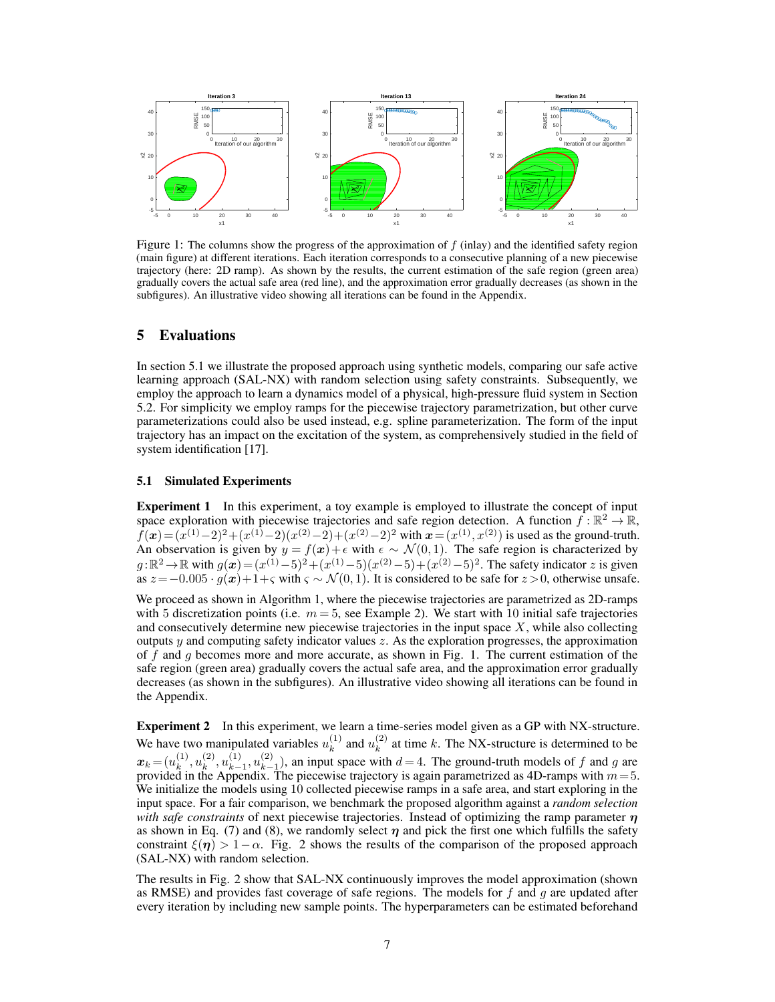

Figure 1: The columns show the progress of the approximation of  $f$  (inlay) and the identified safety region (main figure) at different iterations. Each iteration corresponds to a consecutive planning of a new piecewise trajectory (here: 2D ramp). As shown by the results, the current estimation of the safe region (green area) gradually covers the actual safe area (red line), and the approximation error gradually decreases (as shown in the subfigures). An illustrative video showing all iterations can be found in the Appendix.

## 5 Evaluations

In section 5.1 we illustrate the proposed approach using synthetic models, comparing our safe active learning approach (SAL-NX) with random selection using safety constraints. Subsequently, we employ the approach to learn a dynamics model of a physical, high-pressure fluid system in Section 5.2. For simplicity we employ ramps for the piecewise trajectory parametrization, but other curve parameterizations could also be used instead, e.g. spline parameterization. The form of the input trajectory has an impact on the excitation of the system, as comprehensively studied in the field of system identification [17].

### 5.1 Simulated Experiments

**Experiment 1** In this experiment, a toy example is employed to illustrate the concept of input space exploration with piecewise trajectories and safe region detection. A function  $f : \mathbb{R}^2 \to \mathbb{R}$ ,  $f(x) = (x^{(1)} - 2)^2 + (x^{(1)} - 2)(x^{(2)} - 2) + (x^{(2)} - 2)^2$  with  $x = (x^{(1)}, x^{(2)})$  is used as the ground-truth. An observation is given by  $y = f(x) + \epsilon$  with  $\epsilon \sim \mathcal{N}(0, 1)$ . The safe region is characterized by  $g: \mathbb{R}^2 \to \mathbb{R}$  with  $g(x) = (x^{(1)} - 5)^2 + (x^{(1)} - 5)(x^{(2)} - 5) + (x^{(2)} - 5)^2$ . The safety indicator z is given as  $z=-0.005 \cdot \tilde{g}(x)+1+\varsigma$  with  $\varsigma \sim \mathcal{N}(0, 1)$ . It is considered to be safe for  $z > 0$ , otherwise unsafe.

We proceed as shown in Algorithm 1, where the piecewise trajectories are parametrized as 2D-ramps with 5 discretization points (i.e.  $m = 5$ , see Example 2). We start with 10 initial safe trajectories and consecutively determine new piecewise trajectories in the input space  $X$ , while also collecting outputs  $y$  and computing safety indicator values  $z$ . As the exploration progresses, the approximation of f and g becomes more and more accurate, as shown in Fig. 1. The current estimation of the safe region (green area) gradually covers the actual safe area, and the approximation error gradually decreases (as shown in the subfigures). An illustrative video showing all iterations can be found in the Appendix.

Experiment 2 In this experiment, we learn a time-series model given as a GP with NX-structure. We have two manipulated variables  $u_k^{(1)}$  $\binom{1}{k}$  and  $u_k^{(2)}$  $k<sup>(2)</sup>$  at time k. The NX-structure is determined to be  $\boldsymbol{x}_k \!=\! (u^{(1)}_k$  $\binom{(1)}{k}, u_k^{(2)}$  $_{k}^{(2)},u_{k-}^{(1)}$  $\binom{(1)}{k-1}, \binom{(2)}{k-1}$  $\binom{2}{k-1}$ , an input space with  $d=4$ . The ground-truth models of f and g are provided in the Appendix. The piecewise trajectory is again parametrized as 4D-ramps with  $m = 5$ . We initialize the models using 10 collected piecewise ramps in a safe area, and start exploring in the input space. For a fair comparison, we benchmark the proposed algorithm against a *random selection with safe constraints* of next piecewise trajectories. Instead of optimizing the ramp parameter  $\eta$ as shown in Eq. (7) and (8), we randomly select  $\eta$  and pick the first one which fulfills the safety constraint  $\xi(\eta) > 1-\alpha$ . Fig. 2 shows the results of the comparison of the proposed approach (SAL-NX) with random selection.

The results in Fig. 2 show that SAL-NX continuously improves the model approximation (shown as RMSE) and provides fast coverage of safe regions. The models for  $f$  and  $g$  are updated after every iteration by including new sample points. The hyperparameters can be estimated beforehand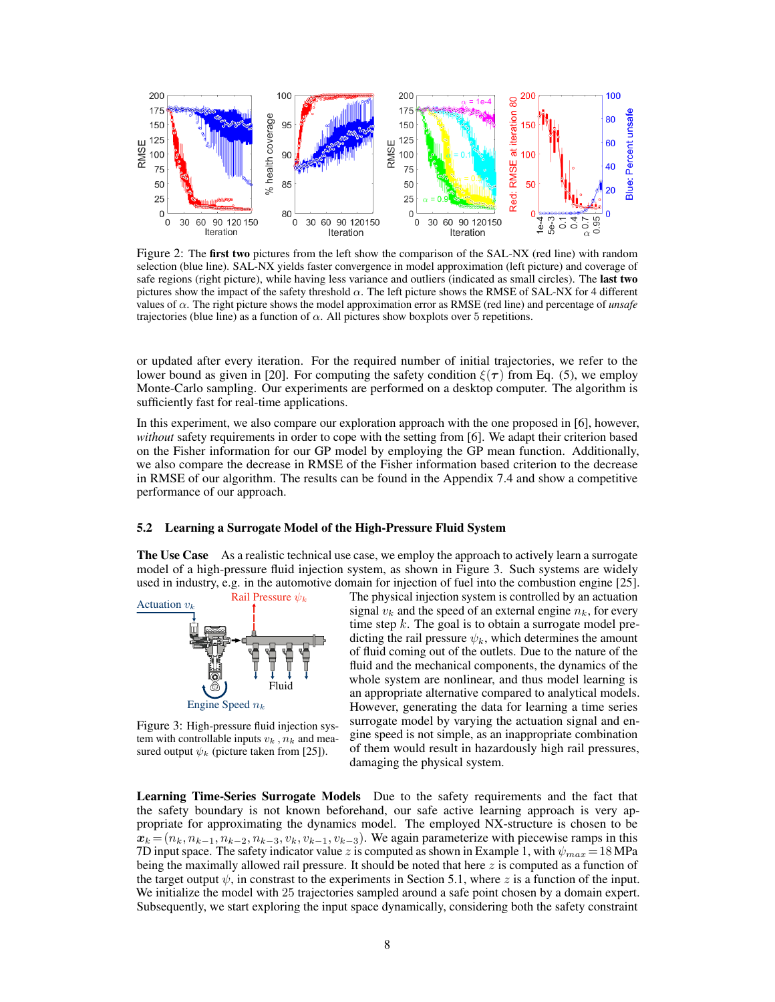

Figure 2: The first two pictures from the left show the comparison of the SAL-NX (red line) with random selection (blue line). SAL-NX yields faster convergence in model approximation (left picture) and coverage of safe regions (right picture), while having less variance and outliers (indicated as small circles). The last two pictures show the impact of the safety threshold  $\alpha$ . The left picture shows the RMSE of SAL-NX for 4 different values of α. The right picture shows the model approximation error as RMSE (red line) and percentage of *unsafe* trajectories (blue line) as a function of  $\alpha$ . All pictures show boxplots over 5 repetitions.

or updated after every iteration. For the required number of initial trajectories, we refer to the lower bound as given in [20]. For computing the safety condition  $\xi(\tau)$  from Eq. (5), we employ Monte-Carlo sampling. Our experiments are performed on a desktop computer. The algorithm is sufficiently fast for real-time applications.

In this experiment, we also compare our exploration approach with the one proposed in [6], however, *without* safety requirements in order to cope with the setting from [6]. We adapt their criterion based on the Fisher information for our GP model by employing the GP mean function. Additionally, we also compare the decrease in RMSE of the Fisher information based criterion to the decrease in RMSE of our algorithm. The results can be found in the Appendix 7.4 and show a competitive performance of our approach.

## 5.2 Learning a Surrogate Model of the High-Pressure Fluid System

The Use Case As a realistic technical use case, we employ the approach to actively learn a surrogate model of a high-pressure fluid injection system, as shown in Figure 3. Such systems are widely used in industry, e.g. in the automotive domain for injection of fuel into the combustion engine [25].



Figure 3: High-pressure fluid injection system with controllable inputs  $v_k$ ,  $n_k$  and measured output  $\psi_k$  (picture taken from [25]).

The physical injection system is controlled by an actuation signal  $v_k$  and the speed of an external engine  $n_k$ , for every time step  $k$ . The goal is to obtain a surrogate model predicting the rail pressure  $\psi_k$ , which determines the amount of fluid coming out of the outlets. Due to the nature of the fluid and the mechanical components, the dynamics of the whole system are nonlinear, and thus model learning is an appropriate alternative compared to analytical models. However, generating the data for learning a time series surrogate model by varying the actuation signal and engine speed is not simple, as an inappropriate combination of them would result in hazardously high rail pressures, damaging the physical system.

Learning Time-Series Surrogate Models Due to the safety requirements and the fact that the safety boundary is not known beforehand, our safe active learning approach is very appropriate for approximating the dynamics model. The employed NX-structure is chosen to be  $x_k = (n_k, n_{k-1}, n_{k-2}, n_{k-3}, v_k, v_{k-1}, v_{k-3})$ . We again parameterize with piecewise ramps in this 7D input space. The safety indicator value z is computed as shown in Example 1, with  $\psi_{max} = 18 \text{ MPa}$ being the maximally allowed rail pressure. It should be noted that here  $z$  is computed as a function of the target output  $\psi$ , in constrast to the experiments in Section 5.1, where z is a function of the input. We initialize the model with 25 trajectories sampled around a safe point chosen by a domain expert. Subsequently, we start exploring the input space dynamically, considering both the safety constraint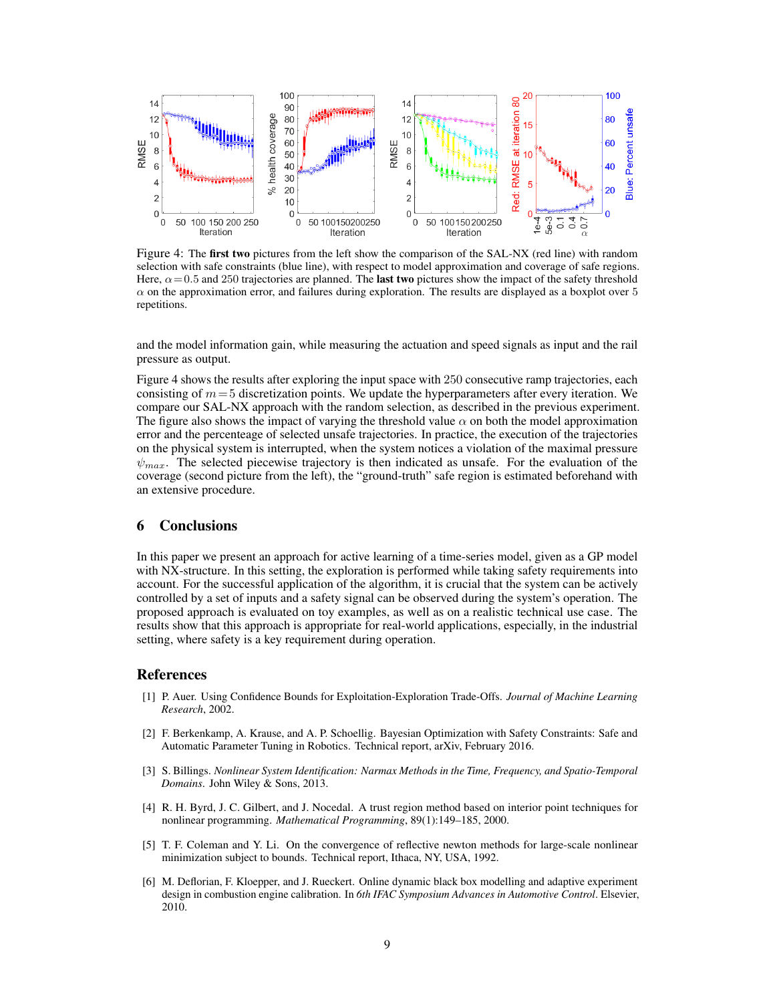

Figure 4: The first two pictures from the left show the comparison of the SAL-NX (red line) with random selection with safe constraints (blue line), with respect to model approximation and coverage of safe regions. Here,  $\alpha$  = 0.5 and 250 trajectories are planned. The **last two** pictures show the impact of the safety threshold  $\alpha$  on the approximation error, and failures during exploration. The results are displayed as a boxplot over 5 repetitions.

and the model information gain, while measuring the actuation and speed signals as input and the rail pressure as output.

Figure 4 shows the results after exploring the input space with 250 consecutive ramp trajectories, each consisting of  $m=5$  discretization points. We update the hyperparameters after every iteration. We compare our SAL-NX approach with the random selection, as described in the previous experiment. The figure also shows the impact of varying the threshold value  $\alpha$  on both the model approximation error and the percenteage of selected unsafe trajectories. In practice, the execution of the trajectories on the physical system is interrupted, when the system notices a violation of the maximal pressure  $\psi_{max}$ . The selected piecewise trajectory is then indicated as unsafe. For the evaluation of the coverage (second picture from the left), the "ground-truth" safe region is estimated beforehand with an extensive procedure.

## 6 Conclusions

In this paper we present an approach for active learning of a time-series model, given as a GP model with NX-structure. In this setting, the exploration is performed while taking safety requirements into account. For the successful application of the algorithm, it is crucial that the system can be actively controlled by a set of inputs and a safety signal can be observed during the system's operation. The proposed approach is evaluated on toy examples, as well as on a realistic technical use case. The results show that this approach is appropriate for real-world applications, especially, in the industrial setting, where safety is a key requirement during operation.

## References

- [1] P. Auer. Using Confidence Bounds for Exploitation-Exploration Trade-Offs. *Journal of Machine Learning Research*, 2002.
- [2] F. Berkenkamp, A. Krause, and A. P. Schoellig. Bayesian Optimization with Safety Constraints: Safe and Automatic Parameter Tuning in Robotics. Technical report, arXiv, February 2016.
- [3] S. Billings. *Nonlinear System Identification: Narmax Methods in the Time, Frequency, and Spatio-Temporal Domains*. John Wiley & Sons, 2013.
- [4] R. H. Byrd, J. C. Gilbert, and J. Nocedal. A trust region method based on interior point techniques for nonlinear programming. *Mathematical Programming*, 89(1):149–185, 2000.
- [5] T. F. Coleman and Y. Li. On the convergence of reflective newton methods for large-scale nonlinear minimization subject to bounds. Technical report, Ithaca, NY, USA, 1992.
- [6] M. Deflorian, F. Kloepper, and J. Rueckert. Online dynamic black box modelling and adaptive experiment design in combustion engine calibration. In *6th IFAC Symposium Advances in Automotive Control*. Elsevier, 2010.